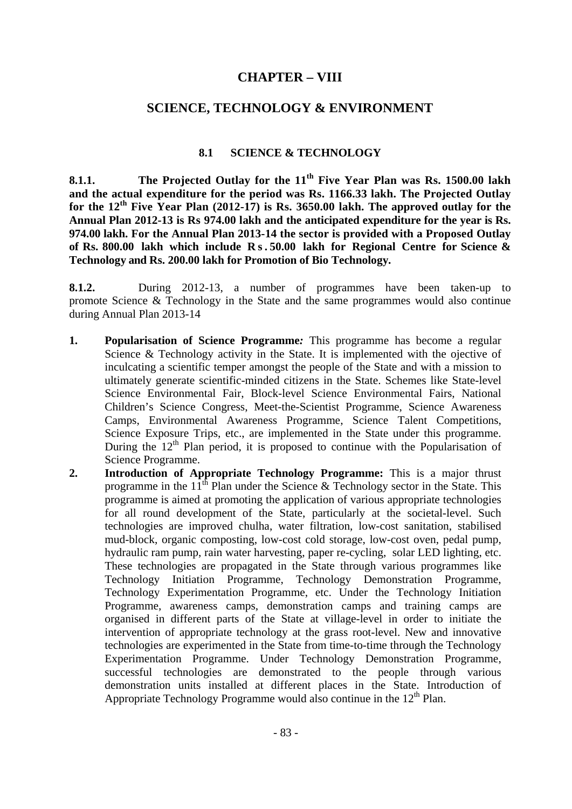# **CHAPTER – VIII**

# **SCIENCE, TECHNOLOGY & ENVIRONMENT**

# **8.1 SCIENCE & TECHNOLOGY**

**8.1.1. The Projected Outlay for the 11th Five Year Plan was Rs. 1500.00 lakh and the actual expenditure for the period was Rs. 1166.33 lakh. The Projected Outlay for the 12th Five Year Plan (2012-17) is Rs. 3650.00 lakh. The approved outlay for the Annual Plan 2012-13 is Rs 974.00 lakh and the anticipated expenditure for the year is Rs. 974.00 lakh. For the Annual Plan 2013-14 the sector is provided with a Proposed Outlay of Rs. 800.00 lakh which include R s . 50.00 lakh for Regional Centre for Science & Technology and Rs. 200.00 lakh for Promotion of Bio Technology.**

**8.1.2.** During 2012-13, a number of programmes have been taken-up to promote Science & Technology in the State and the same programmes would also continue during Annual Plan 2013-14

- **1. Popularisation of Science Programme***:* This programme has become a regular Science & Technology activity in the State. It is implemented with the ojective of inculcating a scientific temper amongst the people of the State and with a mission to ultimately generate scientific-minded citizens in the State. Schemes like State-level Science Environmental Fair, Block-level Science Environmental Fairs, National Children's Science Congress, Meet-the-Scientist Programme, Science Awareness Camps, Environmental Awareness Programme, Science Talent Competitions, Science Exposure Trips, etc., are implemented in the State under this programme. During the  $12<sup>th</sup>$  Plan period, it is proposed to continue with the Popularisation of Science Programme.
- **2. Introduction of Appropriate Technology Programme:** This is a major thrust programme in the  $11<sup>th</sup>$  Plan under the Science & Technology sector in the State. This programme is aimed at promoting the application of various appropriate technologies for all round development of the State, particularly at the societal-level. Such technologies are improved chulha, water filtration, low-cost sanitation, stabilised mud-block, organic composting, low-cost cold storage, low-cost oven, pedal pump, hydraulic ram pump, rain water harvesting, paper re-cycling, solar LED lighting, etc. These technologies are propagated in the State through various programmes like Technology Initiation Programme, Technology Demonstration Programme, Technology Experimentation Programme, etc. Under the Technology Initiation Programme, awareness camps, demonstration camps and training camps are organised in different parts of the State at village-level in order to initiate the intervention of appropriate technology at the grass root-level. New and innovative technologies are experimented in the State from time-to-time through the Technology Experimentation Programme. Under Technology Demonstration Programme, successful technologies are demonstrated to the people through various demonstration units installed at different places in the State. Introduction of Appropriate Technology Programme would also continue in the  $12<sup>th</sup>$  Plan.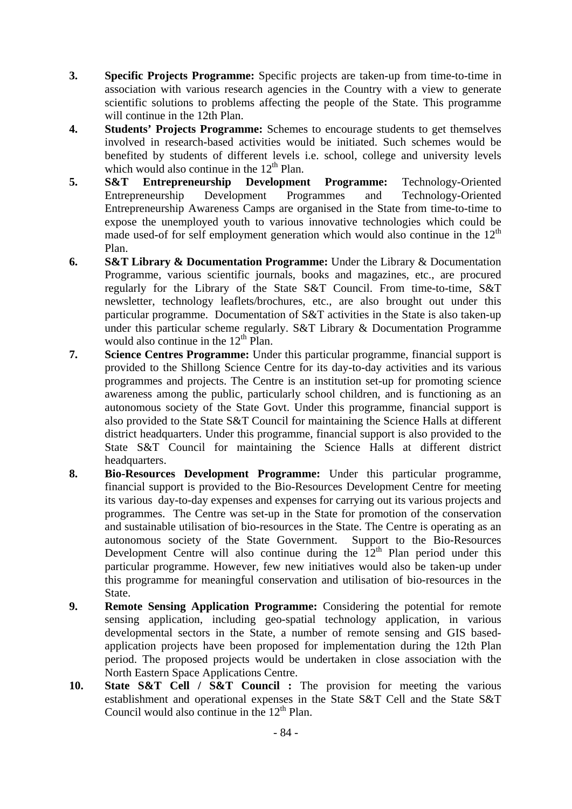- **3. Specific Projects Programme:** Specific projects are taken-up from time-to-time in association with various research agencies in the Country with a view to generate scientific solutions to problems affecting the people of the State. This programme will continue in the 12th Plan.
- **4. Students' Projects Programme:** Schemes to encourage students to get themselves involved in research-based activities would be initiated. Such schemes would be benefited by students of different levels i.e. school, college and university levels which would also continue in the  $12<sup>th</sup>$  Plan.
- **5. S&T Entrepreneurship Development Programme:** Technology-Oriented Entrepreneurship Development Programmes and Technology-Oriented Entrepreneurship Awareness Camps are organised in the State from time-to-time to expose the unemployed youth to various innovative technologies which could be made used-of for self employment generation which would also continue in the  $12<sup>th</sup>$ Plan.
- **6. S&T Library & Documentation Programme:** Under the Library & Documentation Programme, various scientific journals, books and magazines, etc., are procured regularly for the Library of the State S&T Council. From time-to-time, S&T newsletter, technology leaflets/brochures, etc., are also brought out under this particular programme. Documentation of S&T activities in the State is also taken-up under this particular scheme regularly. S&T Library & Documentation Programme would also continue in the  $12<sup>th</sup>$  Plan.
- **7. Science Centres Programme:** Under this particular programme, financial support is provided to the Shillong Science Centre for its day-to-day activities and its various programmes and projects. The Centre is an institution set-up for promoting science awareness among the public, particularly school children, and is functioning as an autonomous society of the State Govt. Under this programme, financial support is also provided to the State S&T Council for maintaining the Science Halls at different district headquarters. Under this programme, financial support is also provided to the State S&T Council for maintaining the Science Halls at different district headquarters.
- **8. Bio-Resources Development Programme:** Under this particular programme, financial support is provided to the Bio-Resources Development Centre for meeting its various day-to-day expenses and expenses for carrying out its various projects and programmes. The Centre was set-up in the State for promotion of the conservation and sustainable utilisation of bio-resources in the State. The Centre is operating as an autonomous society of the State Government. Support to the Bio-Resources Development Centre will also continue during the  $12<sup>th</sup>$  Plan period under this particular programme. However, few new initiatives would also be taken-up under this programme for meaningful conservation and utilisation of bio-resources in the State.
- **9. Remote Sensing Application Programme:** Considering the potential for remote sensing application, including geo-spatial technology application, in various developmental sectors in the State, a number of remote sensing and GIS basedapplication projects have been proposed for implementation during the 12th Plan period. The proposed projects would be undertaken in close association with the North Eastern Space Applications Centre.
- **10. State S&T Cell / S&T Council :** The provision for meeting the various establishment and operational expenses in the State S&T Cell and the State S&T Council would also continue in the  $12<sup>th</sup>$  Plan.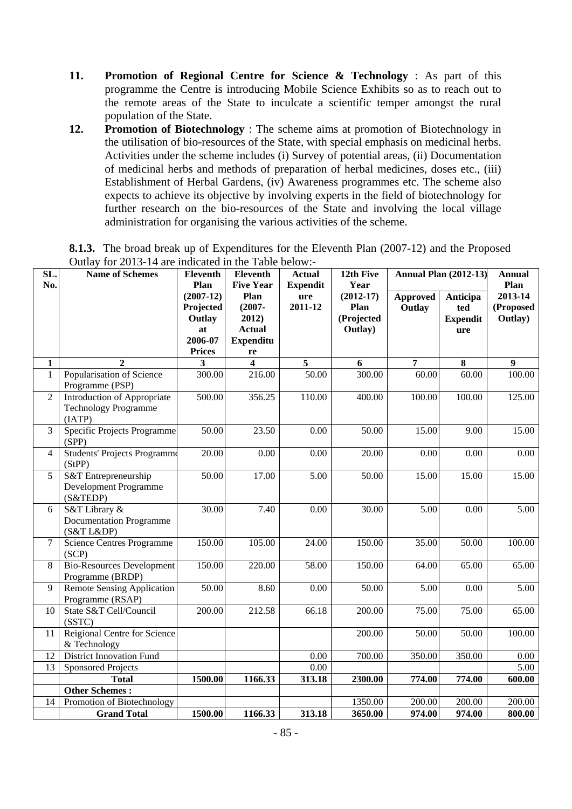- **11. Promotion of Regional Centre for Science & Technology** : As part of this programme the Centre is introducing Mobile Science Exhibits so as to reach out to the remote areas of the State to inculcate a scientific temper amongst the rural population of the State.
- **12. Promotion of Biotechnology** : The scheme aims at promotion of Biotechnology in the utilisation of bio-resources of the State, with special emphasis on medicinal herbs. Activities under the scheme includes (i) Survey of potential areas, (ii) Documentation of medicinal herbs and methods of preparation of herbal medicines, doses etc., (iii) Establishment of Herbal Gardens, (iv) Awareness programmes etc. The scheme also expects to achieve its objective by involving experts in the field of biotechnology for further research on the bio-resources of the State and involving the local village administration for organising the various activities of the scheme.

| $\overline{\text{SL}}$ .<br>No. | $\sigma$ and $\sigma$ and $\sigma$ are indicated in the Table below.<br>Name of Schemes | Eleventh<br>Plan                                                     | <b>Eleventh</b><br><b>Five Year</b>                                   | Actual<br><b>Expendit</b> | 12th Five<br>Year                            | <b>Annual Plan (2012-13)</b> |                                           | <b>Annual</b><br>Plan           |
|---------------------------------|-----------------------------------------------------------------------------------------|----------------------------------------------------------------------|-----------------------------------------------------------------------|---------------------------|----------------------------------------------|------------------------------|-------------------------------------------|---------------------------------|
|                                 |                                                                                         | $(2007-12)$<br>Projected<br>Outlay<br>at<br>2006-07<br><b>Prices</b> | Plan<br>$(2007 -$<br>2012)<br><b>Actual</b><br><b>Expenditu</b><br>re | ure<br>2011-12            | $(2012-17)$<br>Plan<br>(Projected<br>Outlay) | <b>Approved</b><br>Outlay    | Anticipa<br>ted<br><b>Expendit</b><br>ure | 2013-14<br>(Proposed<br>Outlay) |
| 1                               | $\overline{2}$                                                                          | 3                                                                    | $\overline{\mathbf{4}}$                                               | 5                         | 6                                            | $\overline{7}$               | 8                                         | $\boldsymbol{9}$                |
| $\mathbf{1}$                    | Popularisation of Science<br>Programme (PSP)                                            | 300.00                                                               | 216.00                                                                | 50.00                     | 300.00                                       | 60.00                        | 60.00                                     | 100.00                          |
| $\overline{2}$                  | Introduction of Appropriate<br><b>Technology Programme</b><br>(IATP)                    | 500.00                                                               | 356.25                                                                | 110.00                    | 400.00                                       | 100.00                       | 100.00                                    | 125.00                          |
| 3                               | Specific Projects Programme<br>(SPP)                                                    | 50.00                                                                | 23.50                                                                 | 0.00                      | 50.00                                        | 15.00                        | 9.00                                      | 15.00                           |
| $\overline{4}$                  | Students' Projects Programme<br>(StPP)                                                  | 20.00                                                                | 0.00                                                                  | 0.00                      | 20.00                                        | 0.00                         | 0.00                                      | 0.00                            |
| 5                               | S&T Entrepreneurship<br>Development Programme<br>(S&TEDP)                               | 50.00                                                                | 17.00                                                                 | 5.00                      | 50.00                                        | 15.00                        | 15.00                                     | 15.00                           |
| 6                               | S&T Library &<br><b>Documentation Programme</b><br>(S&T L&DP)                           | 30.00                                                                | 7.40                                                                  | 0.00                      | 30.00                                        | 5.00                         | 0.00                                      | 5.00                            |
| $\tau$                          | <b>Science Centres Programme</b><br>(SCP)                                               | 150.00                                                               | 105.00                                                                | 24.00                     | 150.00                                       | 35.00                        | 50.00                                     | 100.00                          |
| 8                               | <b>Bio-Resources Development</b><br>Programme (BRDP)                                    | 150.00                                                               | 220.00                                                                | 58.00                     | 150.00                                       | 64.00                        | 65.00                                     | 65.00                           |
| 9                               | <b>Remote Sensing Application</b><br>Programme (RSAP)                                   | 50.00                                                                | 8.60                                                                  | 0.00                      | 50.00                                        | 5.00                         | 0.00                                      | 5.00                            |
| 10                              | State S&T Cell/Council<br>(SSTC)                                                        | 200.00                                                               | 212.58                                                                | 66.18                     | 200.00                                       | 75.00                        | 75.00                                     | 65.00                           |
| 11                              | Reigional Centre for Science<br>& Technology                                            |                                                                      |                                                                       |                           | 200.00                                       | 50.00                        | 50.00                                     | 100.00                          |
| 12                              | <b>District Innovation Fund</b>                                                         |                                                                      |                                                                       | 0.00                      | 700.00                                       | 350.00                       | 350.00                                    | 0.00                            |
| 13                              | <b>Sponsored Projects</b>                                                               |                                                                      |                                                                       | 0.00                      |                                              |                              |                                           | $\overline{5.00}$               |
|                                 | <b>Total</b>                                                                            | 1500.00                                                              | 1166.33                                                               | 313.18                    | 2300.00                                      | 774.00                       | 774.00                                    | 600.00                          |
|                                 | <b>Other Schemes:</b>                                                                   |                                                                      |                                                                       |                           |                                              |                              |                                           |                                 |
| 14                              | Promotion of Biotechnology                                                              |                                                                      |                                                                       |                           | 1350.00                                      | 200.00                       | 200.00                                    | 200.00                          |
|                                 | <b>Grand Total</b>                                                                      | 1500.00                                                              | 1166.33                                                               | 313.18                    | 3650.00                                      | 974.00                       | 974.00                                    | 800.00                          |

**8.1.3.** The broad break up of Expenditures for the Eleventh Plan (2007-12) and the Proposed Outlay for 2013-14 are indicated in the Table below:-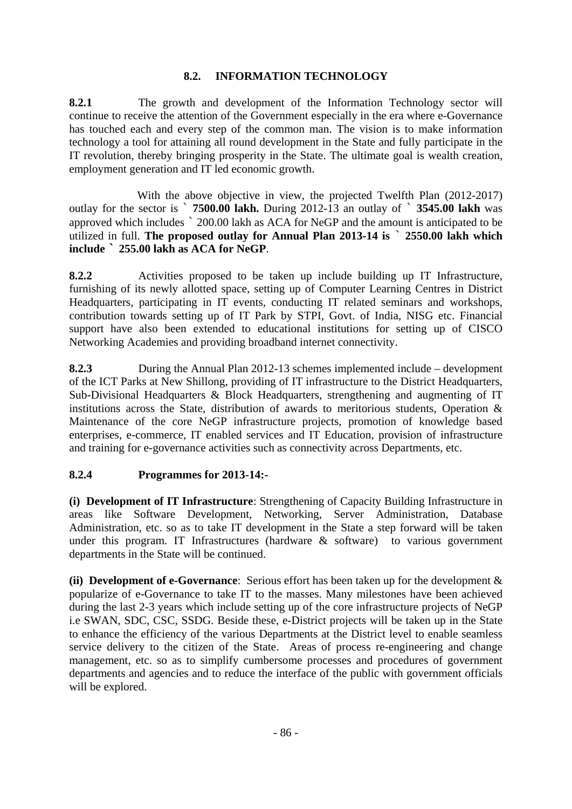# **8.2. INFORMATION TECHNOLOGY**

**8.2.1** The growth and development of the Information Technology sector will continue to receive the attention of the Government especially in the era where e-Governance has touched each and every step of the common man. The vision is to make information technology a tool for attaining all round development in the State and fully participate in the IT revolution, thereby bringing prosperity in the State. The ultimate goal is wealth creation, employment generation and IT led economic growth.

With the above objective in view, the projected Twelfth Plan (2012-2017) outlay for the sector is ` **7500.00 lakh.** During 2012-13 an outlay of ` **3545.00 lakh** was approved which includes ` 200.00 lakh as ACA for NeGP and the amount is anticipated to be utilized in full. **The proposed outlay for Annual Plan 2013-14 is** ` **2550.00 lakh which include ` 255.00 lakh as ACA for NeGP**.

**8.2.2** Activities proposed to be taken up include building up IT Infrastructure, furnishing of its newly allotted space, setting up of Computer Learning Centres in District Headquarters, participating in IT events, conducting IT related seminars and workshops, contribution towards setting up of IT Park by STPI, Govt. of India, NISG etc. Financial support have also been extended to educational institutions for setting up of CISCO Networking Academies and providing broadband internet connectivity.

**8.2.3** During the Annual Plan 2012-13 schemes implemented include – development of the ICT Parks at New Shillong, providing of IT infrastructure to the District Headquarters, Sub-Divisional Headquarters & Block Headquarters, strengthening and augmenting of IT institutions across the State, distribution of awards to meritorious students, Operation & Maintenance of the core NeGP infrastructure projects, promotion of knowledge based enterprises, e-commerce, IT enabled services and IT Education, provision of infrastructure and training for e-governance activities such as connectivity across Departments, etc.

# **8.2.4 Programmes for 2013-14:-**

**(i) Development of IT Infrastructure**: Strengthening of Capacity Building Infrastructure in areas like Software Development, Networking, Server Administration, Database Administration, etc. so as to take IT development in the State a step forward will be taken under this program. IT Infrastructures (hardware & software) to various government departments in the State will be continued.

**(ii) Development of e-Governance**: Serious effort has been taken up for the development & popularize of e-Governance to take IT to the masses. Many milestones have been achieved during the last 2-3 years which include setting up of the core infrastructure projects of NeGP i.e SWAN, SDC, CSC, SSDG. Beside these, e-District projects will be taken up in the State to enhance the efficiency of the various Departments at the District level to enable seamless service delivery to the citizen of the State. Areas of process re-engineering and change management, etc. so as to simplify cumbersome processes and procedures of government departments and agencies and to reduce the interface of the public with government officials will be explored.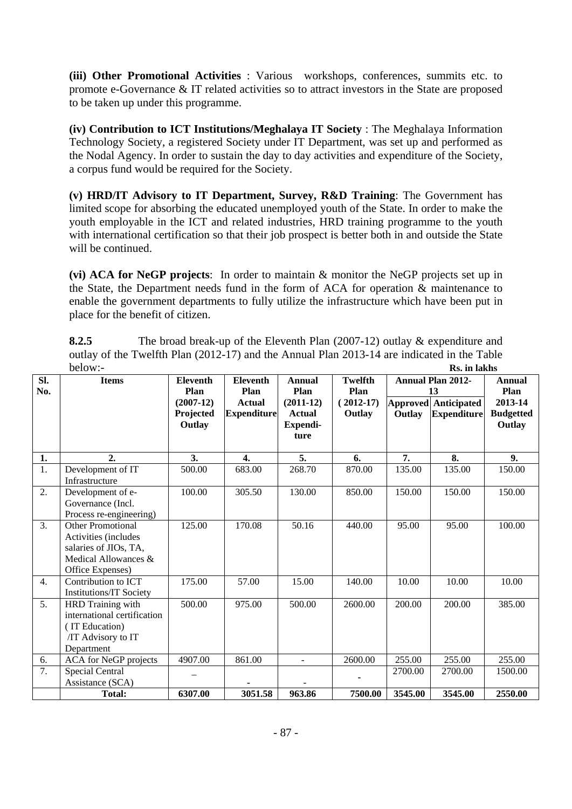**(iii) Other Promotional Activities** : Various workshops, conferences, summits etc. to promote e-Governance & IT related activities so to attract investors in the State are proposed to be taken up under this programme.

**(iv) Contribution to ICT Institutions/Meghalaya IT Society** : The Meghalaya Information Technology Society, a registered Society under IT Department, was set up and performed as the Nodal Agency. In order to sustain the day to day activities and expenditure of the Society, a corpus fund would be required for the Society.

**(v) HRD/IT Advisory to IT Department, Survey, R&D Training**: The Government has limited scope for absorbing the educated unemployed youth of the State. In order to make the youth employable in the ICT and related industries, HRD training programme to the youth with international certification so that their job prospect is better both in and outside the State will be continued.

**(vi) ACA for NeGP projects**: In order to maintain & monitor the NeGP projects set up in the State, the Department needs fund in the form of ACA for operation & maintenance to enable the government departments to fully utilize the infrastructure which have been put in place for the benefit of citizen.

| 8.2.5   | The broad break-up of the Eleventh Plan $(2007-12)$ outlay & expenditure and                |              |
|---------|---------------------------------------------------------------------------------------------|--------------|
|         | outlay of the Twelfth Plan (2012-17) and the Annual Plan 2013-14 are indicated in the Table |              |
| below:- |                                                                                             | Rs. in lakhs |

| SI. | <b>Items</b>                                     | <b>Eleventh</b>     | <b>Eleventh</b>    | <b>Annual</b>             | <b>Twelfth</b> |         | <b>Annual Plan 2012-</b>    | Annual                     |
|-----|--------------------------------------------------|---------------------|--------------------|---------------------------|----------------|---------|-----------------------------|----------------------------|
| No. |                                                  | Plan                | Plan               | Plan                      | Plan           |         | 13                          | Plan                       |
|     |                                                  | $(2007-12)$         | <b>Actual</b>      | $(2011-12)$               | $(2012-17)$    |         | <b>Approved Anticipated</b> | 2013-14                    |
|     |                                                  | Projected<br>Outlay | <b>Expenditure</b> | <b>Actual</b><br>Expendi- | Outlay         | Outlay  | <b>Expenditure</b>          | <b>Budgetted</b><br>Outlay |
|     |                                                  |                     |                    | ture                      |                |         |                             |                            |
|     |                                                  |                     |                    |                           |                |         |                             |                            |
| 1.  | 2.                                               | 3.                  | $\overline{4}$ .   | 5.                        | 6.             | 7.      | 8.                          | 9.                         |
| 1.  | Development of IT                                | 500.00              | 683.00             | 268.70                    | 870.00         | 135.00  | 135.00                      | 150.00                     |
|     | Infrastructure                                   |                     |                    |                           |                |         |                             |                            |
| 2.  | Development of e-                                | 100.00              | 305.50             | 130.00                    | 850.00         | 150.00  | 150.00                      | 150.00                     |
|     | Governance (Incl.                                |                     |                    |                           |                |         |                             |                            |
|     | Process re-engineering)                          |                     |                    |                           |                |         |                             |                            |
| 3.  | <b>Other Promotional</b>                         | 125.00              | 170.08             | 50.16                     | 440.00         | 95.00   | 95.00                       | 100.00                     |
|     | Activities (includes                             |                     |                    |                           |                |         |                             |                            |
|     | salaries of JIOs, TA,                            |                     |                    |                           |                |         |                             |                            |
|     | Medical Allowances &                             |                     |                    |                           |                |         |                             |                            |
|     | Office Expenses)                                 |                     |                    |                           |                |         |                             |                            |
| 4.  | Contribution to ICT                              | 175.00              | 57.00              | 15.00                     | 140.00         | 10.00   | 10.00                       | 10.00                      |
| 5.  | <b>Institutions/IT Society</b>                   | 500.00              | 975.00             | 500.00                    | 2600.00        | 200.00  | 200.00                      | 385.00                     |
|     | HRD Training with<br>international certification |                     |                    |                           |                |         |                             |                            |
|     | (IT Education)                                   |                     |                    |                           |                |         |                             |                            |
|     | /IT Advisory to IT                               |                     |                    |                           |                |         |                             |                            |
|     | Department                                       |                     |                    |                           |                |         |                             |                            |
| 6.  | ACA for NeGP projects                            | 4907.00             | 861.00             | $\mathbf{r}$              | 2600.00        | 255.00  | 255.00                      | 255.00                     |
| 7.  | Special Central                                  |                     |                    |                           |                | 2700.00 | 2700.00                     | 1500.00                    |
|     | Assistance (SCA)                                 |                     |                    |                           |                |         |                             |                            |
|     | <b>Total:</b>                                    | 6307.00             | 3051.58            | 963.86                    | 7500.00        | 3545.00 | 3545.00                     | 2550.00                    |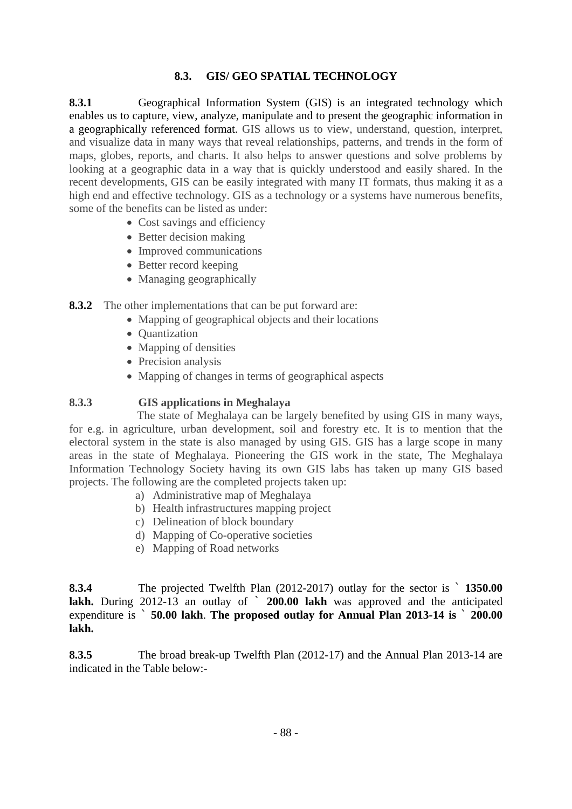# **8.3. GIS/ GEO SPATIAL TECHNOLOGY**

**8.3.1** Geographical Information System (GIS) is an integrated technology which enables us to capture, view, analyze, manipulate and to present the geographic information in a geographically referenced format. GIS allows us to view, understand, question, interpret, and visualize data in many ways that reveal relationships, patterns, and trends in the form of maps, globes, reports, and charts. It also helps to answer questions and solve problems by looking at a geographic data in a way that is quickly understood and easily shared. In the recent developments, GIS can be easily integrated with many IT formats, thus making it as a high end and effective technology. GIS as a technology or a systems have numerous benefits, some of the benefits can be listed as under:

- Cost savings and efficiency
- Better decision making
- Improved communications
- Better record keeping
- Managing geographically

**8.3.2** The other implementations that can be put forward are:

- Mapping of geographical objects and their locations
- Ouantization
- Mapping of densities
- Precision analysis
- Mapping of changes in terms of geographical aspects

## **8.3.3 GIS applications in Meghalaya**

The state of Meghalaya can be largely benefited by using GIS in many ways, for e.g. in agriculture, urban development, soil and forestry etc. It is to mention that the electoral system in the state is also managed by using GIS. GIS has a large scope in many areas in the state of Meghalaya. Pioneering the GIS work in the state, The Meghalaya Information Technology Society having its own GIS labs has taken up many GIS based projects. The following are the completed projects taken up:

- a) Administrative map of Meghalaya
- b) Health infrastructures mapping project
- c) Delineation of block boundary
- d) Mapping of Co-operative societies
- e) Mapping of Road networks

**8.3.4** The projected Twelfth Plan (2012-2017) outlay for the sector is ` **1350.00**  lakh. During 2012-13 an outlay of  $\degree$  200.00 lakh was approved and the anticipated expenditure is ` **50.00 lakh**. **The proposed outlay for Annual Plan 2013-14 is** ` **200.00 lakh.** 

**8.3.5** The broad break-up Twelfth Plan (2012-17) and the Annual Plan 2013-14 are indicated in the Table below:-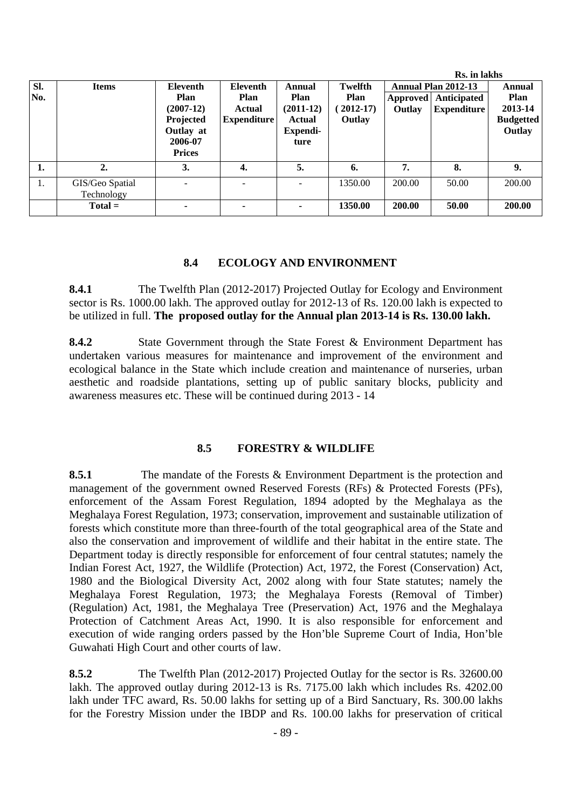|            |                               |                                                                                              |                                                         |                                                             |                                                 |                    | Rs. in lakhs                                                    |                                                                |
|------------|-------------------------------|----------------------------------------------------------------------------------------------|---------------------------------------------------------|-------------------------------------------------------------|-------------------------------------------------|--------------------|-----------------------------------------------------------------|----------------------------------------------------------------|
| SI.<br>No. | <b>Items</b>                  | <b>Eleventh</b><br>Plan<br>$(2007-12)$<br>Projected<br>Outlay at<br>2006-07<br><b>Prices</b> | <b>Eleventh</b><br>Plan<br>Actual<br><b>Expenditure</b> | Annual<br>Plan<br>$(2011-12)$<br>Actual<br>Expendi-<br>ture | Twelfth<br><b>Plan</b><br>$2012 - 17$<br>Outlay | Approved<br>Outlay | <b>Annual Plan 2012-13</b><br>Anticipated<br><b>Expenditure</b> | Annual<br><b>Plan</b><br>2013-14<br><b>Budgetted</b><br>Outlay |
| 1.         | $\overline{2}$ .              | 3.                                                                                           | 4.                                                      | 5.                                                          | 6.                                              | 7.                 | 8.                                                              | 9.                                                             |
| 1.         | GIS/Geo Spatial<br>Technology |                                                                                              |                                                         |                                                             | 1350.00                                         | 200.00             | 50.00                                                           | 200.00                                                         |
|            | $Total =$                     |                                                                                              | ۰                                                       | ٠                                                           | 1350.00                                         | 200.00             | 50.00                                                           | 200.00                                                         |

### **8.4 ECOLOGY AND ENVIRONMENT**

**8.4.1** The Twelfth Plan (2012-2017) Projected Outlay for Ecology and Environment sector is Rs. 1000.00 lakh. The approved outlay for 2012-13 of Rs. 120.00 lakh is expected to be utilized in full. **The proposed outlay for the Annual plan 2013-14 is Rs. 130.00 lakh.**

**8.4.2** State Government through the State Forest & Environment Department has undertaken various measures for maintenance and improvement of the environment and ecological balance in the State which include creation and maintenance of nurseries, urban aesthetic and roadside plantations, setting up of public sanitary blocks, publicity and awareness measures etc. These will be continued during 2013 - 14

### **8.5 FORESTRY & WILDLIFE**

**8.5.1** The mandate of the Forests & Environment Department is the protection and management of the government owned Reserved Forests (RFs) & Protected Forests (PFs), enforcement of the Assam Forest Regulation, 1894 adopted by the Meghalaya as the Meghalaya Forest Regulation, 1973; conservation, improvement and sustainable utilization of forests which constitute more than three-fourth of the total geographical area of the State and also the conservation and improvement of wildlife and their habitat in the entire state. The Department today is directly responsible for enforcement of four central statutes; namely the Indian Forest Act, 1927, the Wildlife (Protection) Act, 1972, the Forest (Conservation) Act, 1980 and the Biological Diversity Act, 2002 along with four State statutes; namely the Meghalaya Forest Regulation, 1973; the Meghalaya Forests (Removal of Timber) (Regulation) Act, 1981, the Meghalaya Tree (Preservation) Act, 1976 and the Meghalaya Protection of Catchment Areas Act, 1990. It is also responsible for enforcement and execution of wide ranging orders passed by the Hon'ble Supreme Court of India, Hon'ble Guwahati High Court and other courts of law.

**8.5.2** The Twelfth Plan (2012-2017) Projected Outlay for the sector is Rs. 32600.00 lakh. The approved outlay during 2012-13 is Rs. 7175.00 lakh which includes Rs. 4202.00 lakh under TFC award, Rs. 50.00 lakhs for setting up of a Bird Sanctuary, Rs. 300.00 lakhs for the Forestry Mission under the IBDP and Rs. 100.00 lakhs for preservation of critical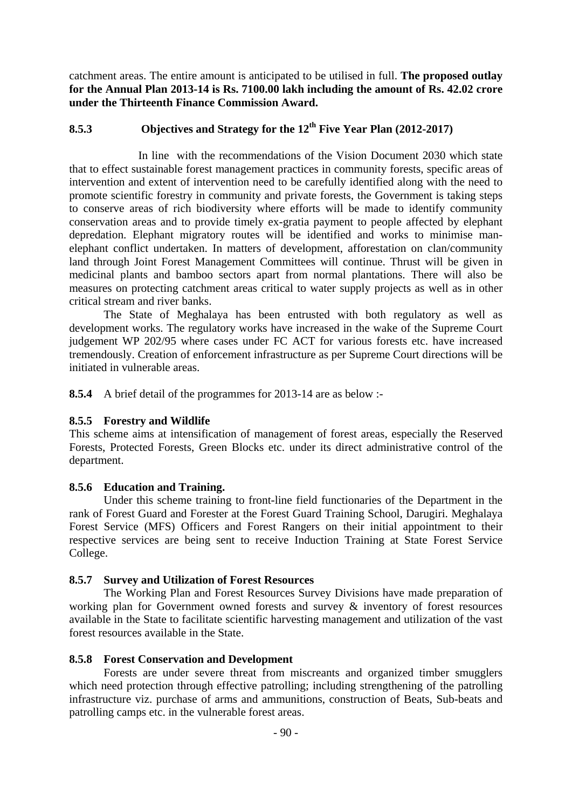catchment areas. The entire amount is anticipated to be utilised in full. **The proposed outlay for the Annual Plan 2013-14 is Rs. 7100.00 lakh including the amount of Rs. 42.02 crore under the Thirteenth Finance Commission Award.** 

# **8.5.3 Objectives and Strategy for the 12th Five Year Plan (2012-2017)**

 In line with the recommendations of the Vision Document 2030 which state that to effect sustainable forest management practices in community forests, specific areas of intervention and extent of intervention need to be carefully identified along with the need to promote scientific forestry in community and private forests, the Government is taking steps to conserve areas of rich biodiversity where efforts will be made to identify community conservation areas and to provide timely ex-gratia payment to people affected by elephant depredation. Elephant migratory routes will be identified and works to minimise manelephant conflict undertaken. In matters of development, afforestation on clan/community land through Joint Forest Management Committees will continue. Thrust will be given in medicinal plants and bamboo sectors apart from normal plantations. There will also be measures on protecting catchment areas critical to water supply projects as well as in other critical stream and river banks.

The State of Meghalaya has been entrusted with both regulatory as well as development works. The regulatory works have increased in the wake of the Supreme Court judgement WP 202/95 where cases under FC ACT for various forests etc. have increased tremendously. Creation of enforcement infrastructure as per Supreme Court directions will be initiated in vulnerable areas.

**8.5.4** A brief detail of the programmes for 2013-14 are as below :-

# **8.5.5 Forestry and Wildlife**

This scheme aims at intensification of management of forest areas, especially the Reserved Forests, Protected Forests, Green Blocks etc. under its direct administrative control of the department.

# **8.5.6 Education and Training.**

 Under this scheme training to front-line field functionaries of the Department in the rank of Forest Guard and Forester at the Forest Guard Training School, Darugiri. Meghalaya Forest Service (MFS) Officers and Forest Rangers on their initial appointment to their respective services are being sent to receive Induction Training at State Forest Service College.

### **8.5.7 Survey and Utilization of Forest Resources**

 The Working Plan and Forest Resources Survey Divisions have made preparation of working plan for Government owned forests and survey & inventory of forest resources available in the State to facilitate scientific harvesting management and utilization of the vast forest resources available in the State.

### **8.5.8 Forest Conservation and Development**

 Forests are under severe threat from miscreants and organized timber smugglers which need protection through effective patrolling; including strengthening of the patrolling infrastructure viz. purchase of arms and ammunitions, construction of Beats, Sub-beats and patrolling camps etc. in the vulnerable forest areas.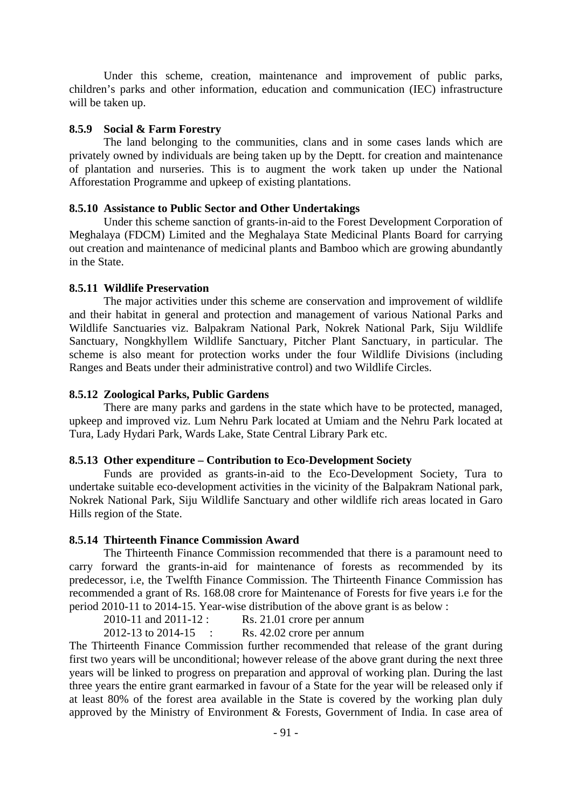Under this scheme, creation, maintenance and improvement of public parks, children's parks and other information, education and communication (IEC) infrastructure will be taken up.

#### **8.5.9 Social & Farm Forestry**

 The land belonging to the communities, clans and in some cases lands which are privately owned by individuals are being taken up by the Deptt. for creation and maintenance of plantation and nurseries. This is to augment the work taken up under the National Afforestation Programme and upkeep of existing plantations.

### **8.5.10 Assistance to Public Sector and Other Undertakings**

 Under this scheme sanction of grants-in-aid to the Forest Development Corporation of Meghalaya (FDCM) Limited and the Meghalaya State Medicinal Plants Board for carrying out creation and maintenance of medicinal plants and Bamboo which are growing abundantly in the State.

#### **8.5.11 Wildlife Preservation**

 The major activities under this scheme are conservation and improvement of wildlife and their habitat in general and protection and management of various National Parks and Wildlife Sanctuaries viz. Balpakram National Park, Nokrek National Park, Siju Wildlife Sanctuary, Nongkhyllem Wildlife Sanctuary, Pitcher Plant Sanctuary, in particular. The scheme is also meant for protection works under the four Wildlife Divisions (including Ranges and Beats under their administrative control) and two Wildlife Circles.

### **8.5.12 Zoological Parks, Public Gardens**

 There are many parks and gardens in the state which have to be protected, managed, upkeep and improved viz. Lum Nehru Park located at Umiam and the Nehru Park located at Tura, Lady Hydari Park, Wards Lake, State Central Library Park etc.

#### **8.5.13 Other expenditure – Contribution to Eco-Development Society**

 Funds are provided as grants-in-aid to the Eco-Development Society, Tura to undertake suitable eco-development activities in the vicinity of the Balpakram National park, Nokrek National Park, Siju Wildlife Sanctuary and other wildlife rich areas located in Garo Hills region of the State.

#### **8.5.14 Thirteenth Finance Commission Award**

 The Thirteenth Finance Commission recommended that there is a paramount need to carry forward the grants-in-aid for maintenance of forests as recommended by its predecessor, i.e, the Twelfth Finance Commission. The Thirteenth Finance Commission has recommended a grant of Rs. 168.08 crore for Maintenance of Forests for five years i.e for the period 2010-11 to 2014-15. Year-wise distribution of the above grant is as below :

 2010-11 and 2011-12 : Rs. 21.01 crore per annum 2012-13 to 2014-15 : Rs. 42.02 crore per annum

The Thirteenth Finance Commission further recommended that release of the grant during first two years will be unconditional; however release of the above grant during the next three years will be linked to progress on preparation and approval of working plan. During the last three years the entire grant earmarked in favour of a State for the year will be released only if at least 80% of the forest area available in the State is covered by the working plan duly approved by the Ministry of Environment & Forests, Government of India. In case area of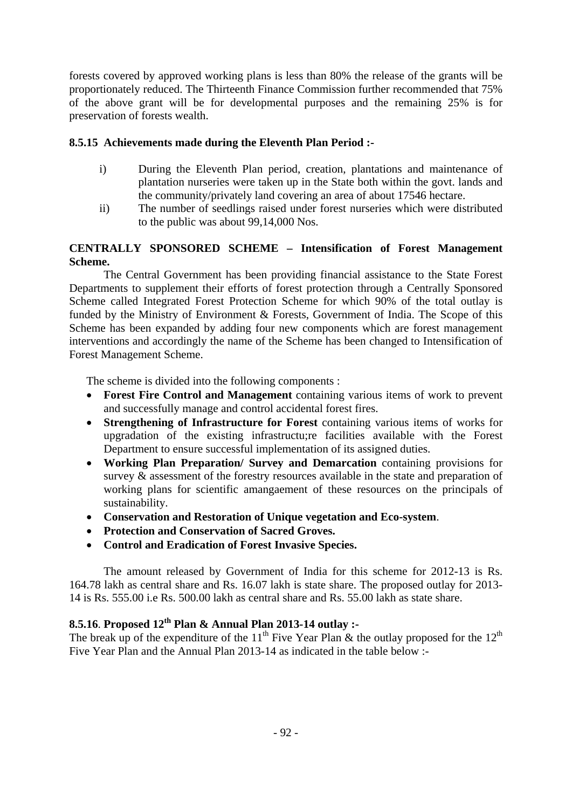forests covered by approved working plans is less than 80% the release of the grants will be proportionately reduced. The Thirteenth Finance Commission further recommended that 75% of the above grant will be for developmental purposes and the remaining 25% is for preservation of forests wealth.

# **8.5.15 Achievements made during the Eleventh Plan Period :-**

- i) During the Eleventh Plan period, creation, plantations and maintenance of plantation nurseries were taken up in the State both within the govt. lands and the community/privately land covering an area of about 17546 hectare.
- ii) The number of seedlings raised under forest nurseries which were distributed to the public was about 99,14,000 Nos.

## **CENTRALLY SPONSORED SCHEME – Intensification of Forest Management Scheme.**

 The Central Government has been providing financial assistance to the State Forest Departments to supplement their efforts of forest protection through a Centrally Sponsored Scheme called Integrated Forest Protection Scheme for which 90% of the total outlay is funded by the Ministry of Environment & Forests, Government of India. The Scope of this Scheme has been expanded by adding four new components which are forest management interventions and accordingly the name of the Scheme has been changed to Intensification of Forest Management Scheme.

The scheme is divided into the following components :

- **Forest Fire Control and Management** containing various items of work to prevent and successfully manage and control accidental forest fires.
- **Strengthening of Infrastructure for Forest** containing various items of works for upgradation of the existing infrastructu;re facilities available with the Forest Department to ensure successful implementation of its assigned duties.
- **Working Plan Preparation/ Survey and Demarcation** containing provisions for survey & assessment of the forestry resources available in the state and preparation of working plans for scientific amangaement of these resources on the principals of sustainability.
- **Conservation and Restoration of Unique vegetation and Eco-system**.
- **Protection and Conservation of Sacred Groves.**
- **Control and Eradication of Forest Invasive Species.**

 The amount released by Government of India for this scheme for 2012-13 is Rs. 164.78 lakh as central share and Rs. 16.07 lakh is state share. The proposed outlay for 2013- 14 is Rs. 555.00 i.e Rs. 500.00 lakh as central share and Rs. 55.00 lakh as state share.

# **8.5.16**. **Proposed 12th Plan & Annual Plan 2013-14 outlay :-**

The break up of the expenditure of the 11<sup>th</sup> Five Year Plan & the outlay proposed for the 12<sup>th</sup> Five Year Plan and the Annual Plan 2013-14 as indicated in the table below :-